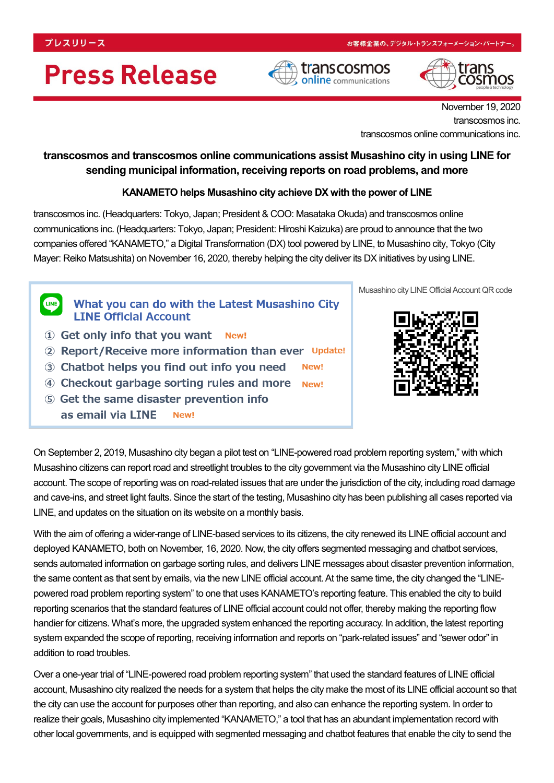# **Press Release**





November 19, 2020 transcosmos inc. transcosmos online communications inc.

### **transcosmos and transcosmos online communications assist Musashino city in using LINE for sending municipal information, receiving reports on road problems, and more**

### **KANAMETO helps Musashino city achieve DX with the power of LINE**

transcosmos inc. (Headquarters: Tokyo, Japan; President & COO: Masataka Okuda) and transcosmos online communications inc. (Headquarters: Tokyo, Japan; President: Hiroshi Kaizuka) are proud to announce that the two companies offered "KANAMETO," a Digital Transformation (DX) tool powered by LINE, to Musashino city, Tokyo (City Mayer: Reiko Matsushita) on November 16, 2020, thereby helping the city deliver its DX initiatives by using LINE.

**LINE** What you can do with the Latest Musashino City **LINE Official Account** 

- 1 Get only info that you want New!
- 2 Report/Receive more information than ever Update!
- 3 Chatbot helps you find out info you need New!
- 4 Checkout garbage sorting rules and more New!
- 5 Get the same disaster prevention info as email via LINE New!



Musashino city LINE Official Account QR code

On September 2, 2019, Musashino city began a pilot test on "LINE-powered road problem reporting system," with which Musashino citizens can report road and streetlight troubles to the city government via the Musashino city LINE official account. The scope of reporting was on road-related issues that are under the jurisdiction of the city, including road damage and cave-ins, and street light faults. Since the start of the testing, Musashino city has been publishing all cases reported via LINE, and updates on the situation on its website on a monthly basis.

With the aim of offering a wider-range of LINE-based services to its citizens, the city renewed its LINE official account and deployed KANAMETO, both on November, 16, 2020. Now, the city offers segmented messaging and chatbot services, sends automated information on garbage sorting rules, and delivers LINE messages about disaster prevention information, the same content as that sent by emails, via the new LINE official account. At the same time, the city changed the "LINEpowered road problem reporting system" to one that uses KANAMETO's reporting feature. This enabled the city to build reporting scenarios that the standard features of LINE official account could not offer, thereby making the reporting flow handier for citizens. What's more, the upgraded system enhanced the reporting accuracy. In addition, the latest reporting system expanded the scope of reporting, receiving information and reports on "park-related issues" and "sewer odor" in addition to road troubles.

Over a one-year trial of "LINE-powered road problem reporting system" that used the standard features of LINE official account, Musashino city realized the needs for a system that helps the city make the most of its LINE official account so that the city can use the account for purposes other than reporting, and also can enhance the reporting system. In order to realize their goals, Musashino city implemented "KANAMETO," a tool that has an abundant implementation record with other local governments, and is equipped with segmented messaging and chatbot features that enable the city to send the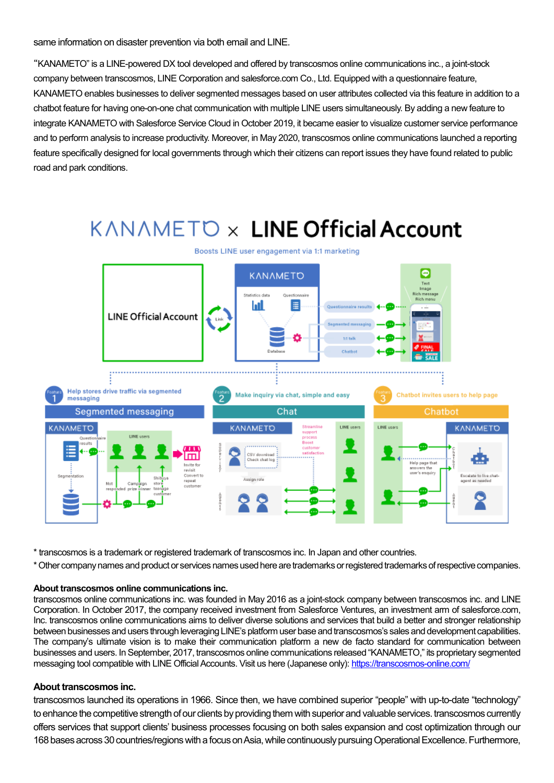same information on disaster prevention via both email and LINE.

"KANAMETO" is a LINE-powered DX tool developed and offered by transcosmos online communications inc., a joint-stock company between transcosmos, LINE Corporation and salesforce.com Co., Ltd. Equipped with a questionnaire feature, KANAMETO enables businesses to deliver segmented messages based on user attributes collected via this feature in addition to a chatbot feature for having one-on-one chat communication with multiple LINE users simultaneously. By adding a new feature to integrate KANAMETO with Salesforce Service Cloud in October 2019, it became easier to visualize customer service performance and to perform analysis to increase productivity. Moreover, in May 2020, transcosmos online communications launched a reporting feature specifically designed for local governments through which their citizens can report issues they have found related to public road and park conditions.

## KANAMETO x LINE Official Account



\* transcosmos is a trademark or registered trademark of transcosmos inc. In Japan and other countries.

\* Other company names and product or services names used here are trademarks or registered trademarks of respective companies.

#### **About transcosmos online communications inc.**

transcosmos online communications inc. was founded in May 2016 as a joint-stock company between transcosmos inc. and LINE Corporation. In October 2017, the company received investment from Salesforce Ventures, an investment arm of salesforce.com, Inc. transcosmos online communications aims to deliver diverse solutions and services that build a better and stronger relationship between businesses and users through leveraging LINE's platform user base and transcosmos's sales and development capabilities. The company's ultimate vision is to make their communication platform a new de facto standard for communication between businesses and users. In September, 2017, transcosmos online communications released "KANAMETO," its proprietary segmented messaging tool compatible with LINE Official Accounts. Visit us here (Japanese only):<https://transcosmos-online.com/>

### **About transcosmos inc.**

transcosmos launched its operations in 1966. Since then, we have combined superior "people" with up-to-date "technology" to enhance the competitive strength of our clients by providing them with superior and valuable services. transcosmos currently offers services that support clients' business processes focusing on both sales expansion and cost optimization through our 168 bases across 30 countries/regions with a focus on Asia, while continuously pursuing Operational Excellence. Furthermore,